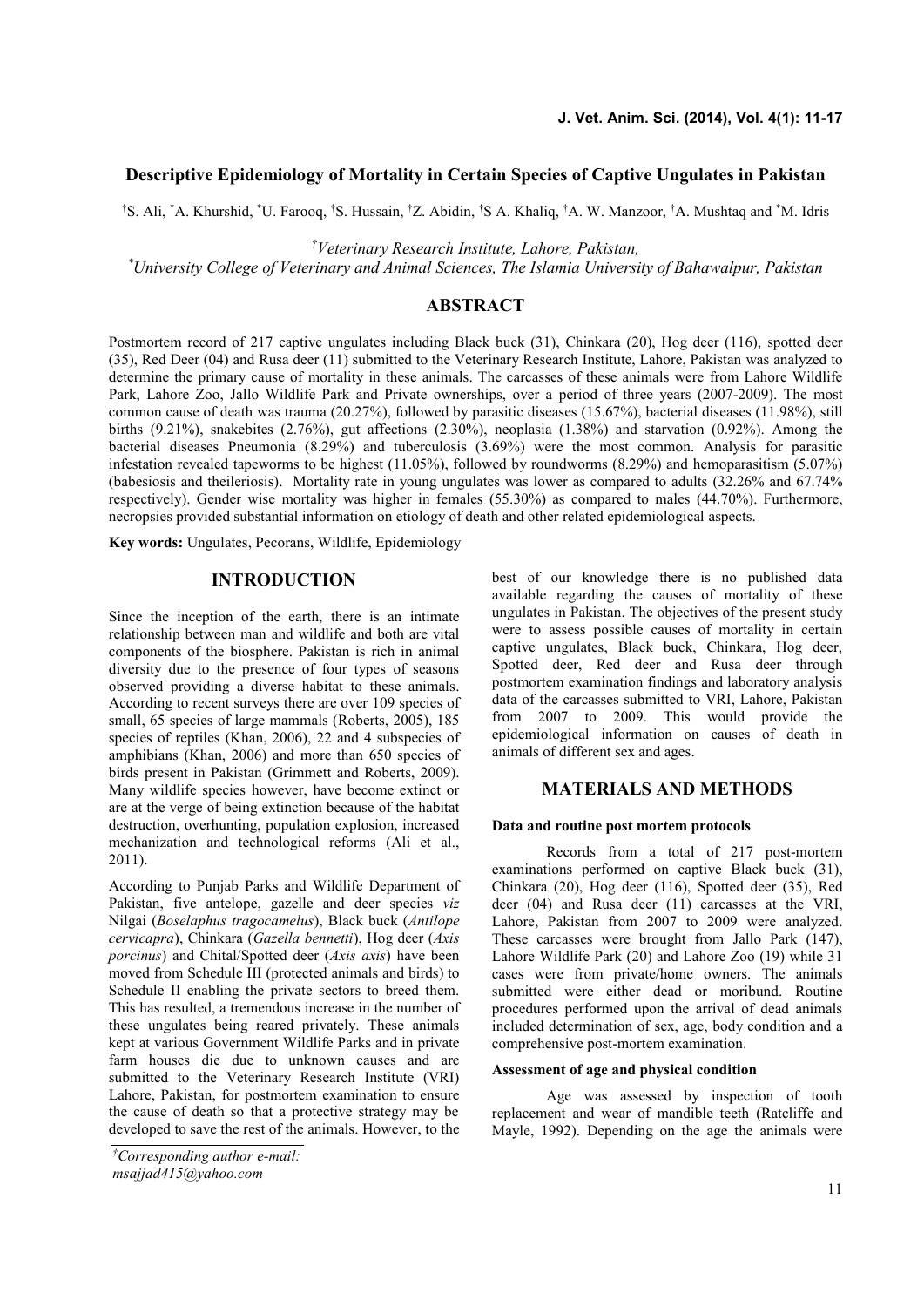# **Descriptive Epidemiology of Mortality in Certain Species of Captive Ungulates in Pakistan**

†S. Ali, \*A. Khurshid, \*U. Farooq, †S. Hussain, †Z. Abidin, †S A. Khaliq, †A. W. Manzoor, †A. Mushtaq and \*M. Idris

*†Veterinary Research Institute, Lahore, Pakistan,*

*\*University College of Veterinary and Animal Sciences, The Islamia University of Bahawalpur, Pakistan*

# **ABSTRACT**

Postmortem record of 217 captive ungulates including Black buck (31), Chinkara (20), Hog deer (116), spotted deer (35), Red Deer (04) and Rusa deer (11) submitted to the Veterinary Research Institute, Lahore, Pakistan was analyzed to determine the primary cause of mortality in these animals. The carcasses of these animals were from Lahore Wildlife Park, Lahore Zoo, Jallo Wildlife Park and Private ownerships, over a period of three years (2007-2009). The most common cause of death was trauma (20.27%), followed by parasitic diseases (15.67%), bacterial diseases (11.98%), still births (9.21%), snakebites (2.76%), gut affections (2.30%), neoplasia (1.38%) and starvation (0.92%). Among the bacterial diseases Pneumonia (8.29%) and tuberculosis (3.69%) were the most common. Analysis for parasitic infestation revealed tapeworms to be highest (11.05%), followed by roundworms (8.29%) and hemoparasitism (5.07%) (babesiosis and theileriosis). Mortality rate in young ungulates was lower as compared to adults (32.26% and 67.74% respectively). Gender wise mortality was higher in females (55.30%) as compared to males (44.70%). Furthermore, necropsies provided substantial information on etiology of death and other related epidemiological aspects.

**Key words:** Ungulates, Pecorans, Wildlife, Epidemiology

### **INTRODUCTION**

Since the inception of the earth, there is an intimate relationship between man and wildlife and both are vital components of the biosphere. Pakistan is rich in animal diversity due to the presence of four types of seasons observed providing a diverse habitat to these animals. According to recent surveys there are over 109 species of small, 65 species of large mammals (Roberts, 2005), 185 species of reptiles (Khan, 2006), 22 and 4 subspecies of amphibians (Khan, 2006) and more than 650 species of birds present in Pakistan (Grimmett and Roberts, 2009). Many wildlife species however, have become extinct or are at the verge of being extinction because of the habitat destruction, overhunting, population explosion, increased mechanization and technological reforms (Ali et al., 2011).

According to Punjab Parks and Wildlife Department of Pakistan, five antelope, gazelle and deer species *viz* Nilgai (*Boselaphus tragocamelus*), Black buck (*Antilope cervicapra*), Chinkara (*Gazella bennetti*), Hog deer (*Axis porcinus*) and Chital/Spotted deer (*Axis axis*) have been moved from Schedule III (protected animals and birds) to Schedule II enabling the private sectors to breed them. This has resulted, a tremendous increase in the number of these ungulates being reared privately. These animals kept at various Government Wildlife Parks and in private farm houses die due to unknown causes and are submitted to the Veterinary Research Institute (VRI) Lahore, Pakistan, for postmortem examination to ensure the cause of death so that a protective strategy may be developed to save the rest of the animals. However, to the best of our knowledge there is no published data available regarding the causes of mortality of these ungulates in Pakistan. The objectives of the present study were to assess possible causes of mortality in certain captive ungulates, Black buck, Chinkara, Hog deer, Spotted deer, Red deer and Rusa deer through postmortem examination findings and laboratory analysis data of the carcasses submitted to VRI, Lahore, Pakistan from 2007 to 2009. This would provide the epidemiological information on causes of death in animals of different sex and ages.

# **MATERIALS AND METHODS**

#### **Data and routine post mortem protocols**

Records from a total of 217 post-mortem examinations performed on captive Black buck (31), Chinkara (20), Hog deer (116), Spotted deer (35), Red deer (04) and Rusa deer (11) carcasses at the VRI, Lahore, Pakistan from 2007 to 2009 were analyzed. These carcasses were brought from Jallo Park (147), Lahore Wildlife Park (20) and Lahore Zoo (19) while 31 cases were from private/home owners. The animals submitted were either dead or moribund. Routine procedures performed upon the arrival of dead animals included determination of sex, age, body condition and a comprehensive post-mortem examination.

### **Assessment of age and physical condition**

Age was assessed by inspection of tooth replacement and wear of mandible teeth (Ratcliffe and Mayle, 1992). Depending on the age the animals were

*<sup>†</sup>Corresponding author e-mail: msajjad415@yahoo.com*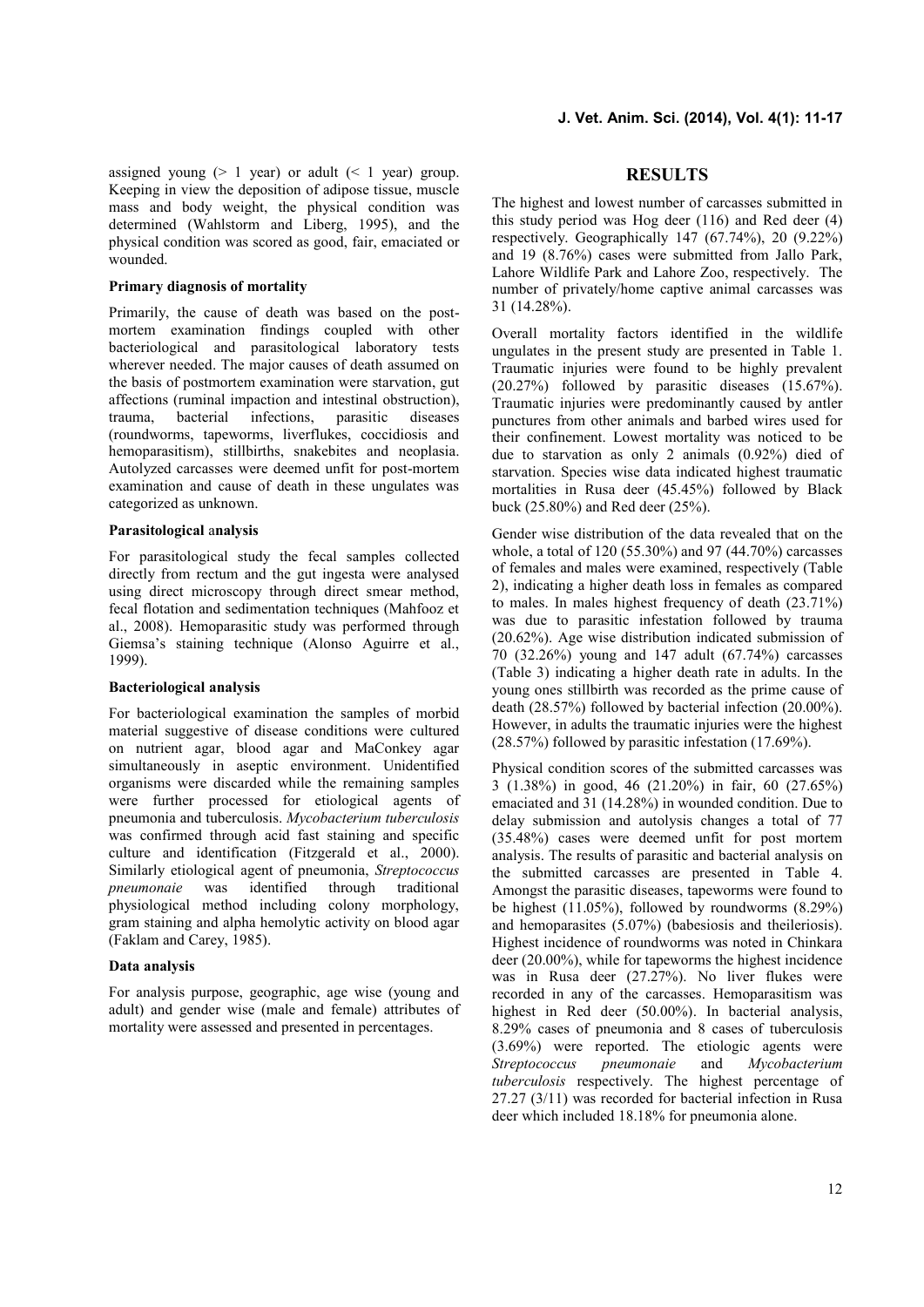assigned young  $(> 1 \text{ year})$  or adult  $(< 1 \text{ year})$  group. Keeping in view the deposition of adipose tissue, muscle mass and body weight, the physical condition was determined (Wahlstorm and Liberg, 1995), and the physical condition was scored as good, fair, emaciated or wounded.

### **Primary diagnosis of mortality**

Primarily, the cause of death was based on the post mortem examination findings coupled with other bacteriological and parasitological laboratory tests wherever needed. The major causes of death assumed on the basis of postmortem examination were starvation, gut affections (ruminal impaction and intestinal obstruction), trauma, bacterial infections, parasitic diseases (roundworms, tapeworms, liverflukes, coccidiosis and hemoparasitism), stillbirths, snakebites and neoplasia. Autolyzed carcasses were deemed unfit for post-mortem examination and cause of death in these ungulates was categorized as unknown.

### **Parasitological** a**nalysis**

For parasitological study the fecal samples collected directly from rectum and the gut ingesta were analysed using direct microscopy through direct smear method, fecal flotation and sedimentation techniques (Mahfooz et al., 2008). Hemoparasitic study was performed through Giemsa's staining technique (Alonso Aguirre et al., 1999).

### **Bacteriological analysis**

For bacteriological examination the samples of morbid material suggestive of disease conditions were cultured on nutrient agar, blood agar and MaConkey agar simultaneously in aseptic environment. Unidentified organisms were discarded while the remaining samples were further processed for etiological agents of pneumonia and tuberculosis. *Mycobacterium tuberculosis* was confirmed through acid fast staining and specific culture and identification (Fitzgerald et al., 2000). Similarly etiological agent of pneumonia, *Streptococcus pneumonaie* was identified through traditional physiological method including colony morphology, gram staining and alpha hemolytic activity on blood agar (Faklam and Carey, 1985).

### **Data analysis**

For analysis purpose, geographic, age wise (young and adult) and gender wise (male and female) attributes of mortality were assessed and presented in percentages.

### **RESULTS**

The highest and lowest number of carcasses submitted in this study period was Hog deer (116) and Red deer (4) respectively. Geographically 147 (67.74%), 20 (9.22%) and 19 (8.76%) cases were submitted from Jallo Park, Lahore Wildlife Park and Lahore Zoo, respectively. The number of privately/home captive animal carcasses was 31 (14.28%).

Overall mortality factors identified in the wildlife ungulates in the present study are presented in Table 1. Traumatic injuries were found to be highly prevalent (20.27%) followed by parasitic diseases (15.67%). Traumatic injuries were predominantly caused by antler punctures from other animals and barbed wires used for their confinement. Lowest mortality was noticed to be due to starvation as only 2 animals (0.92%) died of starvation. Species wise data indicated highest traumatic mortalities in Rusa deer (45.45%) followed by Black buck (25.80%) and Red deer (25%).

Gender wise distribution of the data revealed that on the whole, a total of 120 (55.30%) and 97 (44.70%) carcasses of females and males were examined, respectively (Table 2), indicating a higher death loss in females as compared to males. In males highest frequency of death (23.71%) was due to parasitic infestation followed by trauma (20.62%). Age wise distribution indicated submission of 70 (32.26%) young and 147 adult (67.74%) carcasses (Table 3) indicating a higher death rate in adults. In the young ones stillbirth was recorded as the prime cause of death (28.57%) followed by bacterial infection (20.00%). However, in adults the traumatic injuries were the highest (28.57%) followed by parasitic infestation (17.69%).

Physical condition scores of the submitted carcasses was 3 (1.38%) in good, 46 (21.20%) in fair, 60 (27.65%) emaciated and 31 (14.28%) in wounded condition. Due to delay submission and autolysis changes a total of 77 (35.48%) cases were deemed unfit for post mortem analysis. The results of parasitic and bacterial analysis on the submitted carcasses are presented in Table 4. Amongst the parasitic diseases, tapeworms were found to be highest  $(11.05\%)$ , followed by roundworms  $(8.29\%)$ and hemoparasites (5.07%) (babesiosis and theileriosis). Highest incidence of roundworms was noted in Chinkara deer (20.00%), while for tapeworms the highest incidence was in Rusa deer (27.27%). No liver flukes were recorded in any of the carcasses. Hemoparasitism was highest in Red deer (50.00%). In bacterial analysis, 8.29% cases of pneumonia and 8 cases of tuberculosis (3.69%) were reported. The etiologic agents were *Streptococcus pneumonaie* and *Mycobacterium tuberculosis* respectively. The highest percentage of 27.27 (3/11) was recorded for bacterial infection in Rusa deer which included 18.18% for pneumonia alone.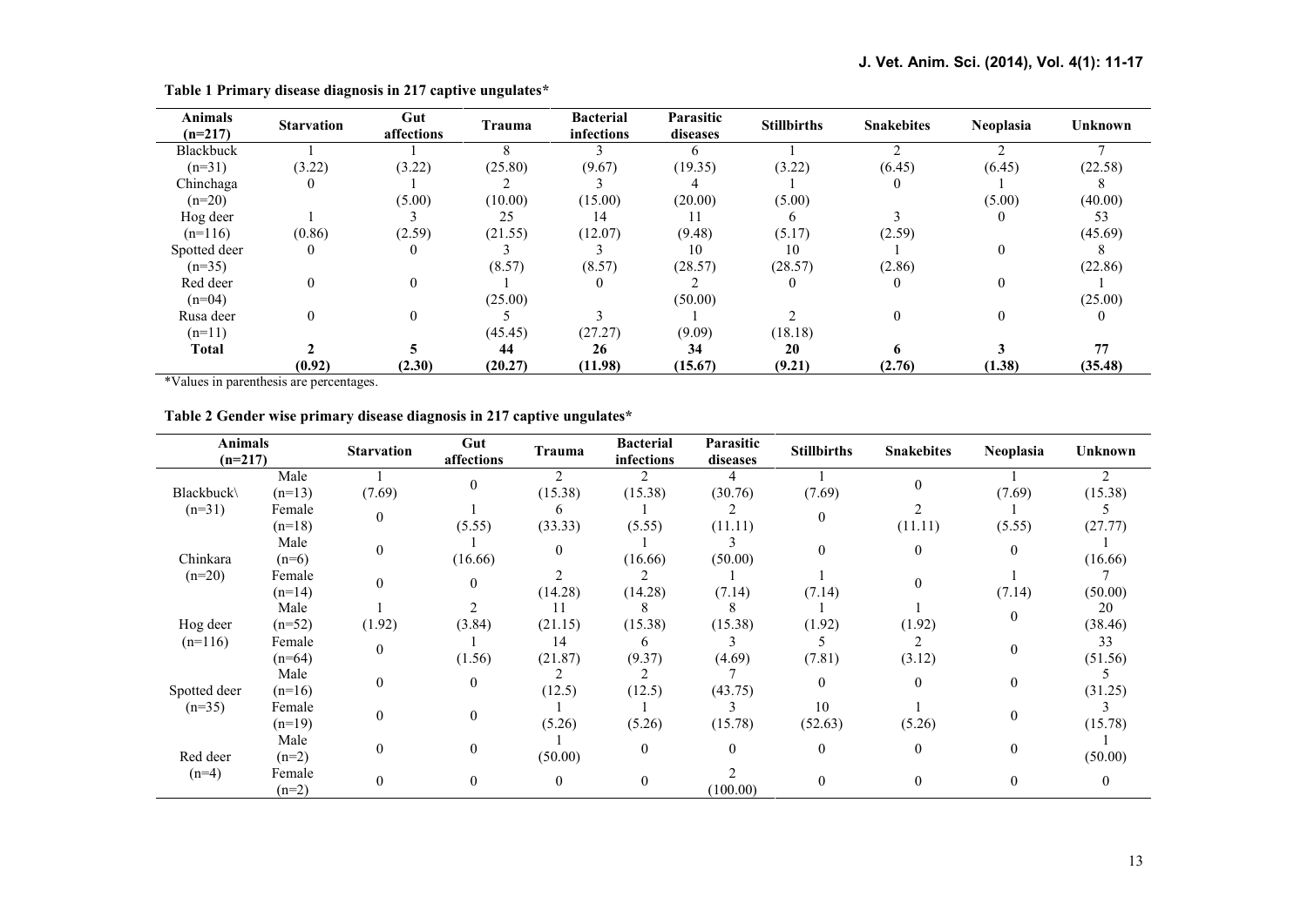| <b>Animals</b><br>$(n=217)$ | <b>Starvation</b> | Gut<br>affections | Trauma  | <b>Bacterial</b><br>infections | Parasitic<br>diseases | <b>Stillbirths</b> | <b>Snakebites</b> | <b>Neoplasia</b> | <b>Unknown</b> |
|-----------------------------|-------------------|-------------------|---------|--------------------------------|-----------------------|--------------------|-------------------|------------------|----------------|
| Blackbuck                   |                   |                   |         |                                | <sub>n</sub>          |                    |                   |                  |                |
| $(n=31)$                    | (3.22)            | (3.22)            | (25.80) | (9.67)                         | (19.35)               | (3.22)             | (6.45)            | (6.45)           | (22.58)        |
| Chinchaga                   |                   |                   |         |                                |                       |                    |                   |                  |                |
| $(n=20)$                    |                   | (5.00)            | (10.00) | (15.00)                        | (20.00)               | (5.00)             |                   | (5.00)           | (40.00)        |
| Hog deer                    |                   |                   | 25      | 14                             |                       |                    |                   |                  | 53             |
| $(n=116)$                   | (0.86)            | (2.59)            | (21.55) | (12.07)                        | (9.48)                | (5.17)             | (2.59)            |                  | (45.69)        |
| Spotted deer                | $\theta$          | $\theta$          |         |                                | 10                    | 10                 |                   |                  | ŏ              |
| $(n=35)$                    |                   |                   | (8.57)  | (8.57)                         | (28.57)               | (28.57)            | (2.86)            |                  | (22.86)        |
| Red deer                    | $\Omega$          | $\theta$          |         |                                |                       |                    |                   |                  |                |
| $(n=04)$                    |                   |                   | (25.00) |                                | (50.00)               |                    |                   |                  | (25.00)        |
| Rusa deer                   |                   | $\theta$          |         |                                |                       |                    |                   |                  | $\theta$       |
| $(n=11)$                    |                   |                   | (45.45) | (27.27)                        | (9.09)                | (18.18)            |                   |                  |                |
| Total                       |                   |                   | 44      | 26                             | 34                    | 20                 |                   |                  | 77             |
|                             | (0.92)            | (2.30)            | (20.27) | (11.98)                        | (15.67)               | (9.21)             | (2.76)            | (1.38)           | (35.48)        |

**Table 1 Primary disease diagnosis in 217 captive ungulates\***

\*Values in parenthesis are percentages.

|  | Table 2 Gender wise primary disease diagnosis in 217 captive ungulates* |  |
|--|-------------------------------------------------------------------------|--|

| <b>Animals</b><br>$(n=217)$ |                   | <b>Starvation</b> | Gut<br>affections | Trauma   | <b>Bacterial</b><br>infections | Parasitic<br>diseases | <b>Stillbirths</b> | <b>Snakebites</b> | Neoplasia    | <b>Unknown</b> |
|-----------------------------|-------------------|-------------------|-------------------|----------|--------------------------------|-----------------------|--------------------|-------------------|--------------|----------------|
|                             | Male              |                   | $\theta$          |          |                                |                       |                    |                   |              |                |
| <b>Blackbuck</b>            | $(n=13)$          | (7.69)            |                   | (15.38)  | (15.38)                        | (30.76)               | (7.69)             |                   | (7.69)       | (15.38)        |
| $(n=31)$                    | Female            | $\mathbf{0}$      |                   |          |                                |                       |                    |                   |              |                |
|                             | $(n=18)$          |                   | (5.55)            | (33.33)  | (5.55)                         | (11.11)               |                    | (11.11)           | (5.55)       | (27.77)        |
| Male                        | $\theta$          |                   |                   |          |                                |                       | $\overline{0}$     | $\mathbf{0}$      |              |                |
| Chinkara                    | $(n=6)$           |                   | (16.66)           |          | (16.66)                        | (50.00)               |                    |                   |              | (16.66)        |
| $(n=20)$                    | Female            | $\theta$          | $\theta$          |          |                                |                       |                    | $\Omega$          |              |                |
|                             | $(n=14)$          |                   |                   | (14.28)  | (14.28)                        | (7.14)                | (7.14)             |                   | (7.14)       | (50.00)        |
|                             | Male              |                   |                   |          |                                |                       |                    |                   |              | 20             |
| Hog deer                    | $(n=52)$          | (1.92)            | (3.84)            | (21.15)  | (15.38)                        | (15.38)               | (1.92)             | (1.92)            | $\mathbf{0}$ | (38.46)        |
| $(n=116)$                   | Female            |                   |                   | 14       | 6                              |                       |                    |                   | $\mathbf{0}$ | 33             |
|                             | $(n=64)$          | $\mathbf{0}$      | (1.56)            | (21.87)  | (9.37)                         | (4.69)                | (7.81)             | (3.12)            |              | (51.56)        |
| Spotted deer                | Male<br>$(n=16)$  | $\mathbf{0}$      | $\overline{0}$    | (12.5)   | (12.5)                         | (43.75)               |                    | $\theta$          | $\mathbf{0}$ | (31.25)        |
| $(n=35)$                    | Female            |                   |                   |          |                                |                       | 10                 |                   |              |                |
|                             | $(n=19)$          | $\mathbf{0}$      | $\boldsymbol{0}$  | (5.26)   | (5.26)                         | (15.78)               | (52.63)            | (5.26)            | $\mathbf{0}$ | (15.78)        |
|                             | Male              | 0                 | $\overline{0}$    |          | $\Omega$                       | $\theta$              | $\theta$           | $\theta$          | $\theta$     |                |
| Red deer                    | $(n=2)$           |                   |                   | (50.00)  |                                |                       |                    |                   |              | (50.00)        |
| $(n=4)$                     | Female<br>$(n=2)$ | $\theta$          | $\overline{0}$    | $\theta$ | $\theta$                       | (100.00)              |                    | $\mathbf{0}$      | $\mathbf{0}$ | $\theta$       |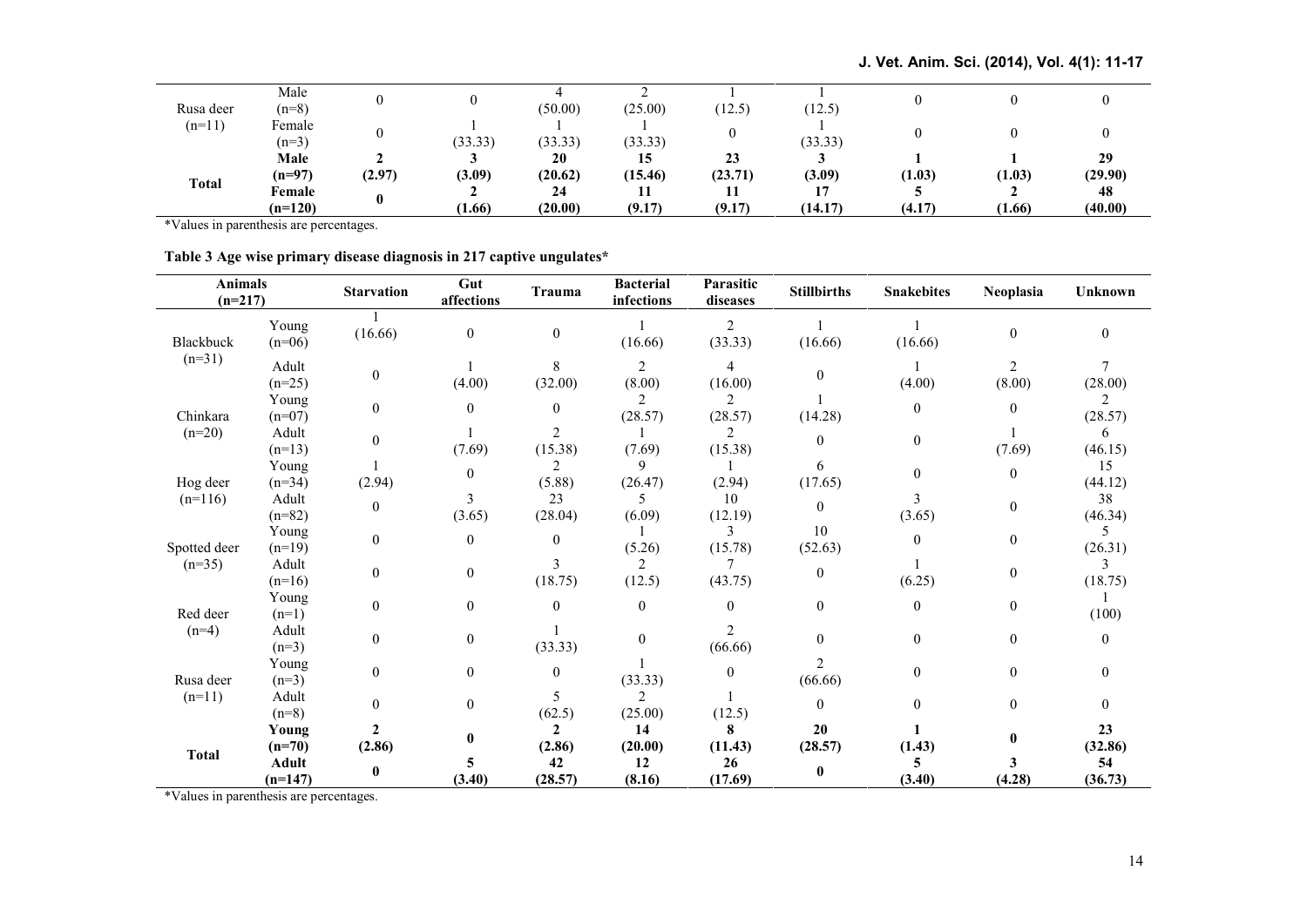| Rusa deer    | Male<br>$(n=8)$     |             |         | (50.00)       | (25.00)       | (12.5)        | (12.5)  |        |        |               |
|--------------|---------------------|-------------|---------|---------------|---------------|---------------|---------|--------|--------|---------------|
| $(n=11)$     | Female<br>$(n=3)$   |             | (33.33) | (33.33)       | (33.33)       | 0             | (33.33) |        |        |               |
| <b>Total</b> | Male<br>$(n=97)$    | ∸<br>(2.97) | (3.09)  | 20<br>(20.62) | 15<br>(15.46) | 23<br>(23.71) | (3.09)  | (1.03) | (1.03) | 29<br>(29.90) |
|              | Female<br>$(n=120)$ |             | (1.66)  | 24<br>(20.00) | (9.17)        | (9.17)        | (14.17) | (4.17) | (1.66) | 48<br>(40.00) |

\*Values in parenthesis are percentages.

| Table 3 Age wise primary disease diagnosis in 217 captive ungulates* |  |  |  |
|----------------------------------------------------------------------|--|--|--|
|                                                                      |  |  |  |

| <b>Animals</b><br>$(n=217)$ |                           | <b>Starvation</b>      | Gut<br>affections | Trauma                   | <b>Bacterial</b><br>infections | Parasitic<br>diseases | <b>Stillbirths</b> | <b>Snakebites</b> | Neoplasia                | <b>Unknown</b>   |
|-----------------------------|---------------------------|------------------------|-------------------|--------------------------|--------------------------------|-----------------------|--------------------|-------------------|--------------------------|------------------|
| Blackbuck                   | Young<br>$(n=06)$         | (16.66)                | $\mathbf{0}$      | $\mathbf{0}$             | (16.66)                        | 2<br>(33.33)          | (16.66)            | (16.66)           | $\boldsymbol{0}$         | $\mathbf{0}$     |
| $(n=31)$                    | Adult<br>$(n=25)$         | $\overline{0}$         | (4.00)            | 8<br>(32.00)             | 2<br>(8.00)                    | 4<br>(16.00)          | $\theta$           | (4.00)            | $\overline{c}$<br>(8.00) | (28.00)          |
| Chinkara                    | Young<br>$(n=07)$         | $\mathbf{0}$           | $\theta$          | $\theta$                 | 2<br>(28.57)                   | 2<br>(28.57)          | (14.28)            | $\theta$          | $\theta$                 | 2<br>(28.57)     |
| $(n=20)$                    | Adult<br>$(n=13)$         | $\theta$               | (7.69)            | 2<br>(15.38)             | (7.69)                         | 2<br>(15.38)          | $\theta$           | $\mathbf{0}$      | (7.69)                   | 6<br>(46.15)     |
| Hog deer                    | Young<br>$(n=34)$         | (2.94)                 | $\boldsymbol{0}$  | (5.88)                   | 9<br>(26.47)                   | (2.94)                | 6<br>(17.65)       | $\Omega$          | $\boldsymbol{0}$         | 15<br>(44.12)    |
| $(n=116)$                   | Adult<br>$(n=82)$         | $\overline{0}$         | 3<br>(3.65)       | 23<br>(28.04)            | 5<br>(6.09)                    | 10<br>(12.19)         | $\theta$           | 3<br>(3.65)       | $\mathbf{0}$             | 38<br>(46.34)    |
| Spotted deer                | Young<br>$(n=19)$         | $\overline{0}$         | $\boldsymbol{0}$  | $\theta$                 | (5.26)                         | 3<br>(15.78)          | 10<br>(52.63)      | $\theta$          | $\boldsymbol{0}$         | 5<br>(26.31)     |
| $(n=35)$                    | Adult<br>$(n=16)$         | $\Omega$               | $\boldsymbol{0}$  | 3<br>(18.75)             | 2<br>(12.5)                    | (43.75)               | $\theta$           | (6.25)            | $\boldsymbol{0}$         | 3<br>(18.75)     |
| Red deer                    | Young<br>$(n=1)$          | $\Omega$               | $\mathbf{0}$      | $\theta$                 | $\theta$                       | $\theta$              | $\theta$           | $\Omega$          | $\boldsymbol{0}$         | (100)            |
| $(n=4)$                     | Adult<br>$(n=3)$          | $\theta$               | $\mathbf{0}$      | (33.33)                  | $\theta$                       | 2<br>(66.66)          | $\Omega$           | $\theta$          | $\mathbf{0}$             | $\boldsymbol{0}$ |
| Rusa deer                   | Young<br>$(n=3)$          | $\mathbf{0}$           | $\mathbf{0}$      | $\theta$                 | (33.33)                        | $\mathbf{0}$          | 2<br>(66.66)       | $\mathbf{0}$      | $\mathbf{0}$             | $\overline{0}$   |
| $(n=11)$                    | Adult<br>$(n=8)$          | $\mathbf{0}$           | $\boldsymbol{0}$  | 5<br>(62.5)              | 2<br>(25.00)                   | (12.5)                | $\mathbf{0}$       | $\Omega$          | $\mathbf{0}$             | $\boldsymbol{0}$ |
| Total                       | Young<br>$(n=70)$         | $\mathbf{2}$<br>(2.86) | $\bf{0}$          | $\mathfrak{D}$<br>(2.86) | 14<br>(20.00)                  | 8<br>(11.43)          | 20<br>(28.57)      | (1.43)            | $\mathbf{0}$             | 23<br>(32.86)    |
|                             | <b>Adult</b><br>$(n=147)$ | $\mathbf{0}$           | 5<br>(3.40)       | 42<br>(28.57)            | 12<br>(8.16)                   | 26<br>(17.69)         | $\mathbf{0}$       | (3.40)            | 3<br>(4.28)              | 54<br>(36.73)    |

\*Values in parenthesis are percentages.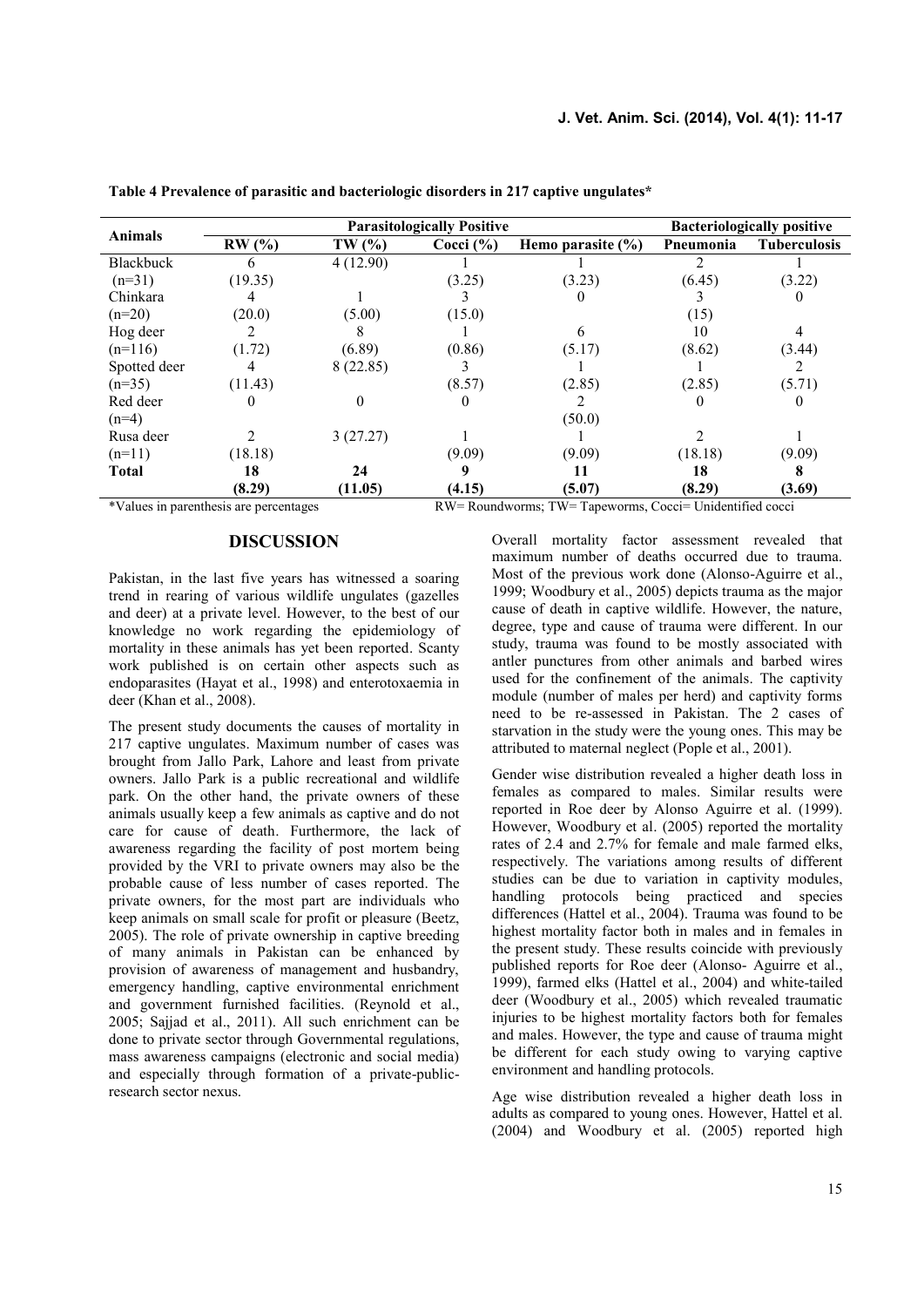|                  |         | <b>Parasitologically Positive</b> | <b>Bacteriologically positive</b> |                       |           |                     |
|------------------|---------|-----------------------------------|-----------------------------------|-----------------------|-----------|---------------------|
| <b>Animals</b>   | RW(%)   | TW(%)                             | Cocci $(\% )$                     | Hemo parasite $(\% )$ | Pneumonia | <b>Tuberculosis</b> |
| <b>Blackbuck</b> | 6       | 4(12.90)                          |                                   |                       |           |                     |
| $(n=31)$         | (19.35) |                                   | (3.25)                            | (3.23)                | (6.45)    | (3.22)              |
| Chinkara         |         |                                   |                                   |                       |           |                     |
| $(n=20)$         | (20.0)  | (5.00)                            | (15.0)                            |                       | (15)      |                     |
| Hog deer         |         |                                   |                                   | 6                     | 10        | 4                   |
| $(n=116)$        | (1.72)  | (6.89)                            | (0.86)                            | (5.17)                | (8.62)    | (3.44)              |
| Spotted deer     |         | 8(22.85)                          |                                   |                       |           |                     |
| $(n=35)$         | (11.43) |                                   | (8.57)                            | (2.85)                | (2.85)    | (5.71)              |
| Red deer         | 0       |                                   |                                   |                       |           |                     |
| $(n=4)$          |         |                                   |                                   | (50.0)                |           |                     |
| Rusa deer        |         | 3(27.27)                          |                                   |                       |           |                     |
| $(n=11)$         | (18.18) |                                   | (9.09)                            | (9.09)                | (18.18)   | (9.09)              |
| <b>Total</b>     | 18      | 24                                |                                   |                       | 18        |                     |
|                  | (8.29)  | (11.05)                           | (4.15)                            | (5.07)                | (8.29)    | (3.69)              |

**Table 4 Prevalence of parasitic and bacteriologic disorders in 217 captive ungulates\***

\*Values in parenthesis are percentages RW= Roundworms; TW= Tapeworms, Cocci= Unidentified cocci

#### **DISCUSSION**

Pakistan, in the last five years has witnessed a soaring trend in rearing of various wildlife ungulates (gazelles and deer) at a private level. However, to the best of our knowledge no work regarding the epidemiology of mortality in these animals has yet been reported. Scanty work published is on certain other aspects such as endoparasites (Hayat et al., 1998) and enterotoxaemia in deer (Khan et al., 2008).

The present study documents the causes of mortality in 217 captive ungulates. Maximum number of cases was brought from Jallo Park, Lahore and least from private owners. Jallo Park is a public recreational and wildlife park. On the other hand, the private owners of these animals usually keep a few animals as captive and do not care for cause of death. Furthermore, the lack of awareness regarding the facility of post mortem being provided by the VRI to private owners may also be the probable cause of less number of cases reported. The private owners, for the most part are individuals who keep animals on small scale for profit or pleasure (Beetz, 2005). The role of private ownership in captive breeding of many animals in Pakistan can be enhanced by provision of awareness of management and husbandry, emergency handling, captive environmental enrichment and government furnished facilities. (Reynold et al., 2005; Sajjad et al., 2011). All such enrichment can be done to private sector through Governmental regulations, mass awareness campaigns (electronic and social media) and especially through formation of a private-publicresearch sector nexus.

Overall mortality factor assessment revealed that maximum number of deaths occurred due to trauma. Most of the previous work done (Alonso-Aguirre et al., 1999; Woodbury et al., 2005) depicts trauma as the major cause of death in captive wildlife. However, the nature, degree, type and cause of trauma were different. In our study, trauma was found to be mostly associated with antler punctures from other animals and barbed wires used for the confinement of the animals. The captivity module (number of males per herd) and captivity forms need to be re-assessed in Pakistan. The 2 cases of starvation in the study were the young ones. This may be attributed to maternal neglect (Pople et al., 2001).

Gender wise distribution revealed a higher death loss in females as compared to males. Similar results were reported in Roe deer by Alonso Aguirre et al. (1999). However, Woodbury et al. (2005) reported the mortality rates of 2.4 and 2.7% for female and male farmed elks, respectively. The variations among results of different studies can be due to variation in captivity modules, handling protocols being practiced and species differences (Hattel et al., 2004). Trauma was found to be highest mortality factor both in males and in females in the present study. These results coincide with previously published reports for Roe deer (Alonso- Aguirre et al., 1999), farmed elks (Hattel et al., 2004) and white-tailed deer (Woodbury et al., 2005) which revealed traumatic injuries to be highest mortality factors both for females and males. However, the type and cause of trauma might be different for each study owing to varying captive environment and handling protocols.

Age wise distribution revealed a higher death loss in adults as compared to young ones. However, Hattel et al. (2004) and Woodbury et al. (2005) reported high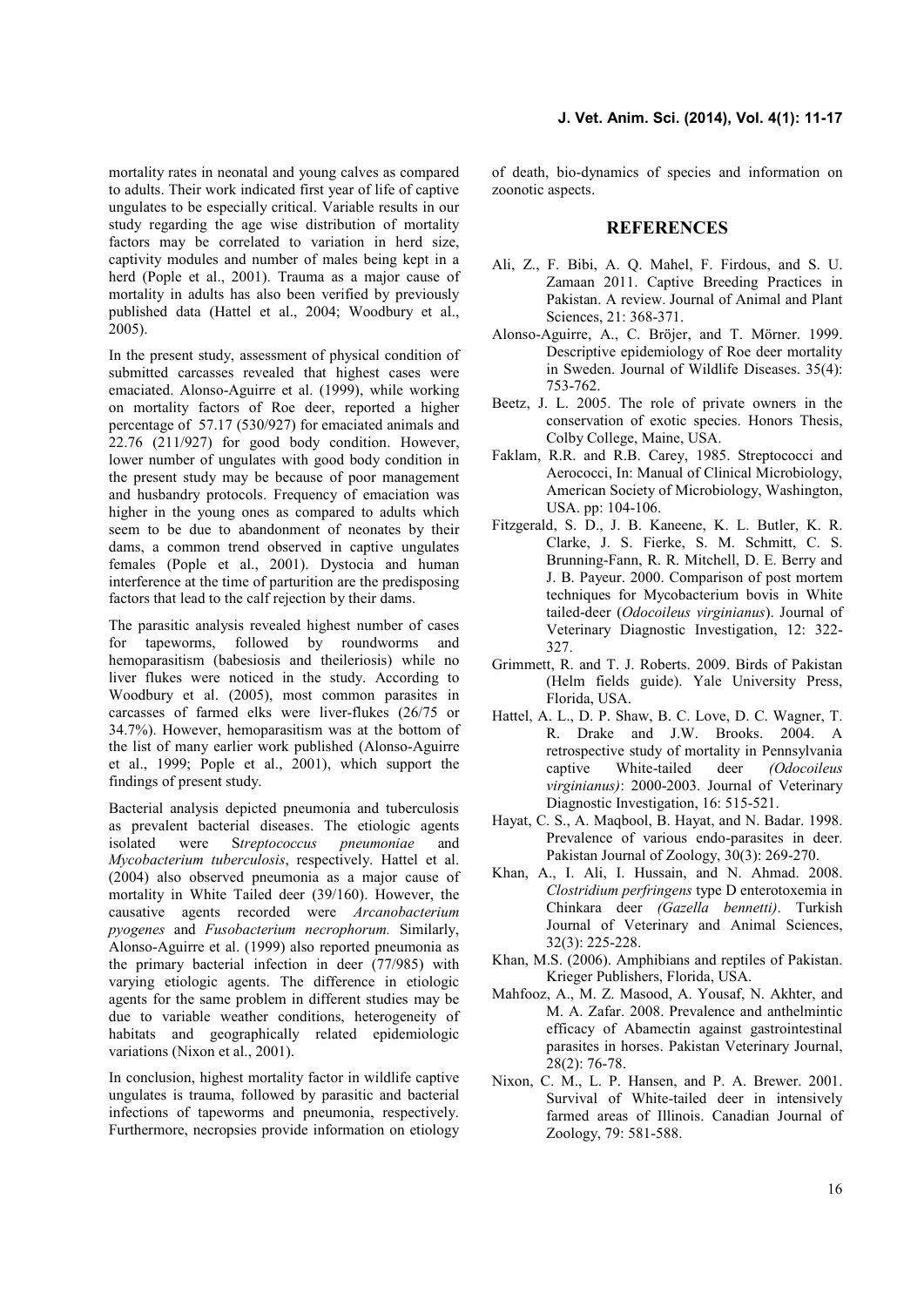mortality rates in neonatal and young calves as compared to adults. Their work indicated first year of life of captive ungulates to be especially critical. Variable results in our study regarding the age wise distribution of mortality factors may be correlated to variation in herd size, captivity modules and number of males being kept in a herd (Pople et al., 2001). Trauma as a major cause of mortality in adults has also been verified by previously published data (Hattel et al., 2004; Woodbury et al., 2005).

In the present study, assessment of physical condition of submitted carcasses revealed that highest cases were emaciated. Alonso-Aguirre et al. (1999), while working on mortality factors of Roe deer, reported a higher percentage of 57.17 (530/927) for emaciated animals and  $22.76$   $(211/927)$  for good body condition. However, lower number of ungulates with good body condition in the present study may be because of poor management and husbandry protocols. Frequency of emaciation was higher in the young ones as compared to adults which seem to be due to abandonment of neonates by their dams, a common trend observed in captive ungulates females (Pople et al., 2001). Dystocia and human interference at the time of parturition are the predisposing factors that lead to the calf rejection by their dams.

The parasitic analysis revealed highest number of cases for tapeworms, followed by roundworms and hemoparasitism (babesiosis and theileriosis) while no liver flukes were noticed in the study. According to Woodbury et al. (2005), most common parasites in carcasses of farmed elks were liver-flukes (26/75 or 34.7%). However, hemoparasitism was at the bottom of the list of many earlier work published (Alonso-Aguirre et al., 1999; Pople et al., 2001), which support the findings of present study.

Bacterial analysis depicted pneumonia and tuberculosis as prevalent bacterial diseases. The etiologic agents isolated were S*treptococcus pneumoniae* and *Mycobacterium tuberculosis*, respectively. Hattel et al. (2004) also observed pneumonia as a major cause of mortality in White Tailed deer (39/160). However, the causative agents recorded were *Arcanobacterium pyogenes* and *Fusobacterium necrophorum.* Similarly, Alonso-Aguirre et al. (1999) also reported pneumonia as the primary bacterial infection in deer (77/985) with varying etiologic agents. The difference in etiologic agents for the same problem in different studies may be due to variable weather conditions, heterogeneity of habitats and geographically related epidemiologic variations (Nixon et al., 2001).

In conclusion, highest mortality factor in wildlife captive ungulates is trauma, followed by parasitic and bacterial infections of tapeworms and pneumonia, respectively. Furthermore, necropsies provide information on etiology

of death, bio-dynamics of species and information on zoonotic aspects.

# **REFERENCES**

- Ali, Z., F. Bibi, A. Q. Mahel, F. Firdous, and S. U. Zamaan 2011. Captive Breeding Practices in Pakistan. A review. Journal of Animal and Plant Sciences, 21: 368-371.
- Alonso-Aguirre, A., C. Bröjer, and T. Mörner. 1999. Descriptive epidemiology of Roe deer mortality in Sweden. Journal of Wildlife Diseases. 35(4): 753-762.
- Beetz, J. L. 2005. The role of private owners in the conservation of exotic species. Honors Thesis, Colby College, Maine, USA.
- Faklam, R.R. and R.B. Carey, 1985. Streptococci and Aerococci, In: Manual of Clinical Microbiology, American Society of Microbiology, Washington, USA. pp: 104-106.
- Fitzgerald, S. D., J. B. Kaneene, K. L. Butler, K. R. Clarke, J. S. Fierke, S. M. Schmitt, C. S. Brunning-Fann, R. R. Mitchell, D. E. Berry and J. B. Payeur. 2000. Comparison of post mortem techniques for Mycobacterium bovis in White tailed-deer (*Odocoileus virginianus*). Journal of Veterinary Diagnostic Investigation, 12: 322- 327.
- Grimmett, R. and T. J. Roberts. 2009. Birds of Pakistan (Helm fields guide). Yale University Press, Florida, USA.
- Hattel, A. L., D. P. Shaw, B. C. Love, D. C. Wagner, T. R. Drake and J.W. Brooks. 2004. A retrospective study of mortality in Pennsylvania captive White-tailed deer *(Odocoileus virginianus)*: 2000-2003. Journal of Veterinary Diagnostic Investigation, 16: 515-521.
- Hayat, C. S., A. Maqbool, B. Hayat, and N. Badar. 1998. Prevalence of various endo-parasites in deer. Pakistan Journal of Zoology, 30(3): 269-270.
- Khan, A., I. Ali, I. Hussain, and N. Ahmad. 2008. *Clostridium perfringens* type D enterotoxemia in Chinkara deer *(Gazella bennetti)*. Turkish Journal of Veterinary and Animal Sciences, 32(3): 225-228.
- Khan, M.S. (2006). Amphibians and reptiles of Pakistan. Krieger Publishers, Florida, USA.
- Mahfooz, A., M. Z. Masood, A. Yousaf, N. Akhter, and M. A. Zafar. 2008. Prevalence and anthelmintic efficacy of Abamectin against gastrointestinal parasites in horses. Pakistan Veterinary Journal,  $28(2) \cdot 76 - 78$
- Nixon, C. M., L. P. Hansen, and P. A. Brewer. 2001. Survival of White-tailed deer in intensively farmed areas of Illinois. Canadian Journal of Zoology, 79: 581-588.